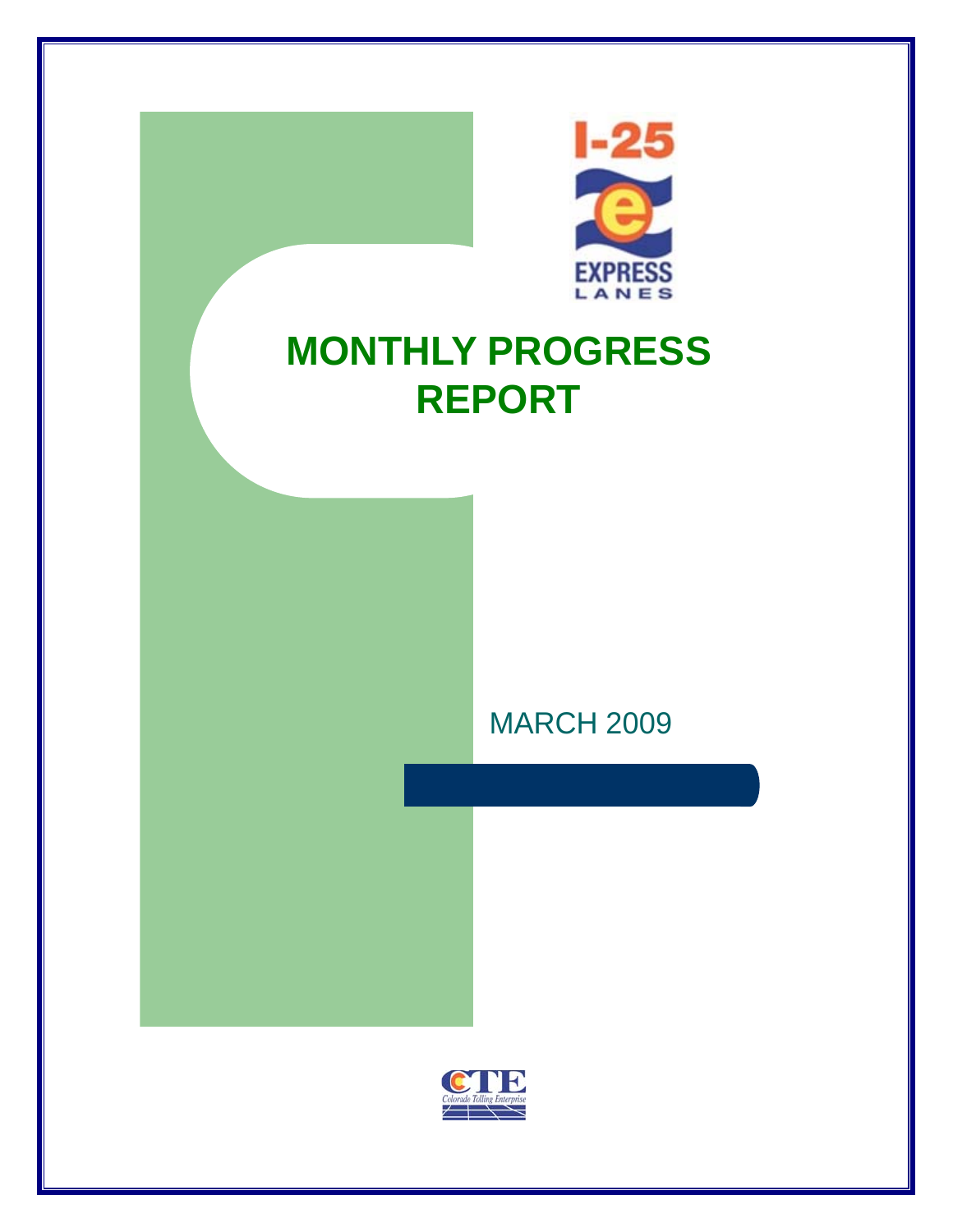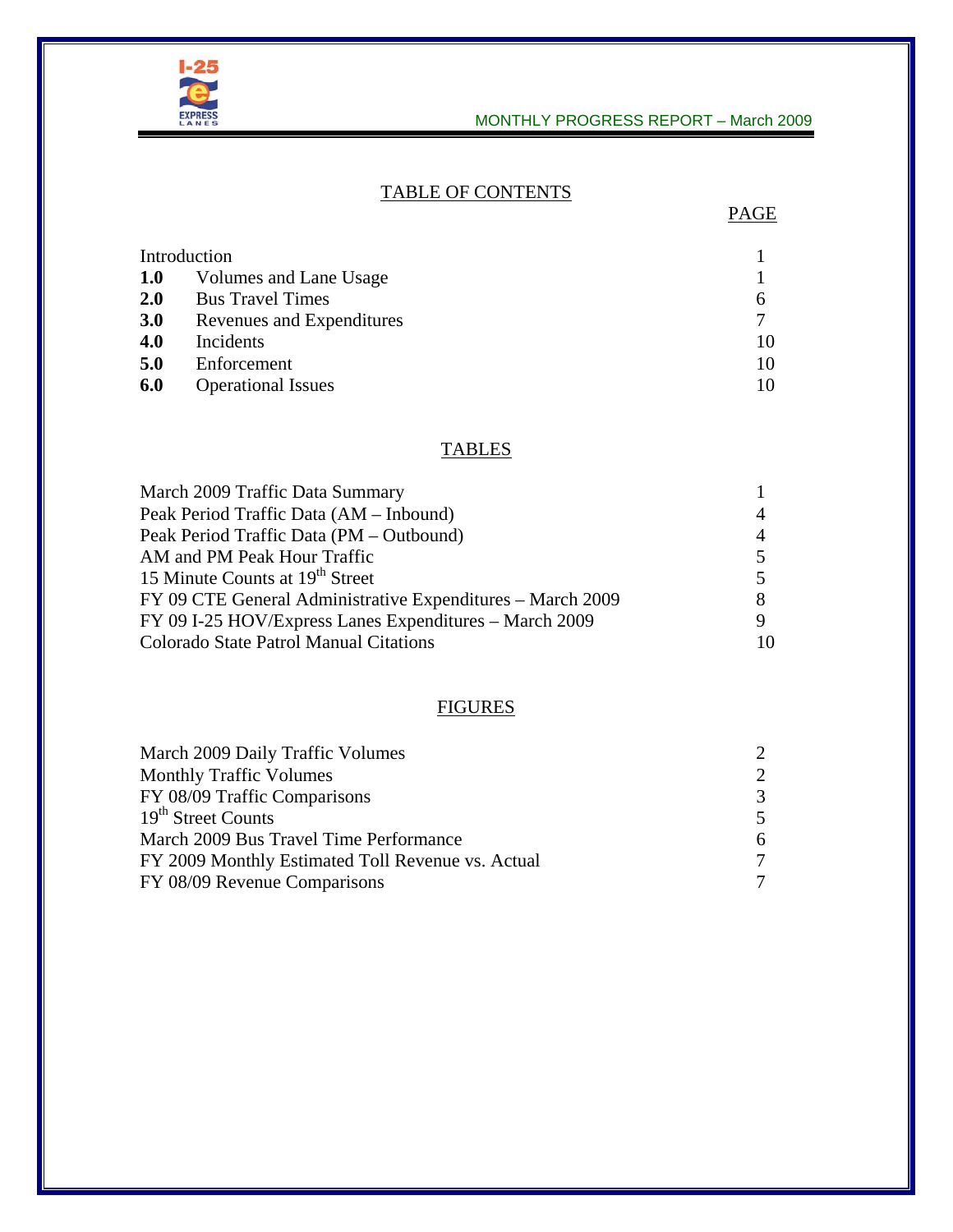

# TABLE OF CONTENTS

#### <u>PAGE</u>

|            | Introduction              |        |
|------------|---------------------------|--------|
| <b>1.0</b> | Volumes and Lane Usage    |        |
| 2.0        | <b>Bus Travel Times</b>   | 6      |
| 3.0        | Revenues and Expenditures | $\tau$ |
| 4.0        | Incidents                 | 10     |
| 5.0        | Enforcement               | 10     |
| 6.0        | <b>Operational Issues</b> |        |

## **TABLES**

| March 2009 Traffic Data Summary                            |                |
|------------------------------------------------------------|----------------|
| Peak Period Traffic Data (AM – Inbound)                    | $\overline{4}$ |
| Peak Period Traffic Data (PM – Outbound)                   | $\overline{4}$ |
| AM and PM Peak Hour Traffic                                | 5              |
| 15 Minute Counts at 19 <sup>th</sup> Street                | 5              |
| FY 09 CTE General Administrative Expenditures – March 2009 | 8              |
| FY 09 I-25 HOV/Express Lanes Expenditures - March 2009     |                |
| Colorado State Patrol Manual Citations                     | 10             |

# **FIGURES**

| March 2009 Daily Traffic Volumes                  | $\mathcal{D}_{\mathcal{L}}$ |
|---------------------------------------------------|-----------------------------|
| <b>Monthly Traffic Volumes</b>                    | $\mathcal{D}_{\cdot}$       |
| FY 08/09 Traffic Comparisons                      | 3                           |
| 19 <sup>th</sup> Street Counts                    | 5                           |
| March 2009 Bus Travel Time Performance            | 6                           |
| FY 2009 Monthly Estimated Toll Revenue vs. Actual | 7                           |
| FY 08/09 Revenue Comparisons                      |                             |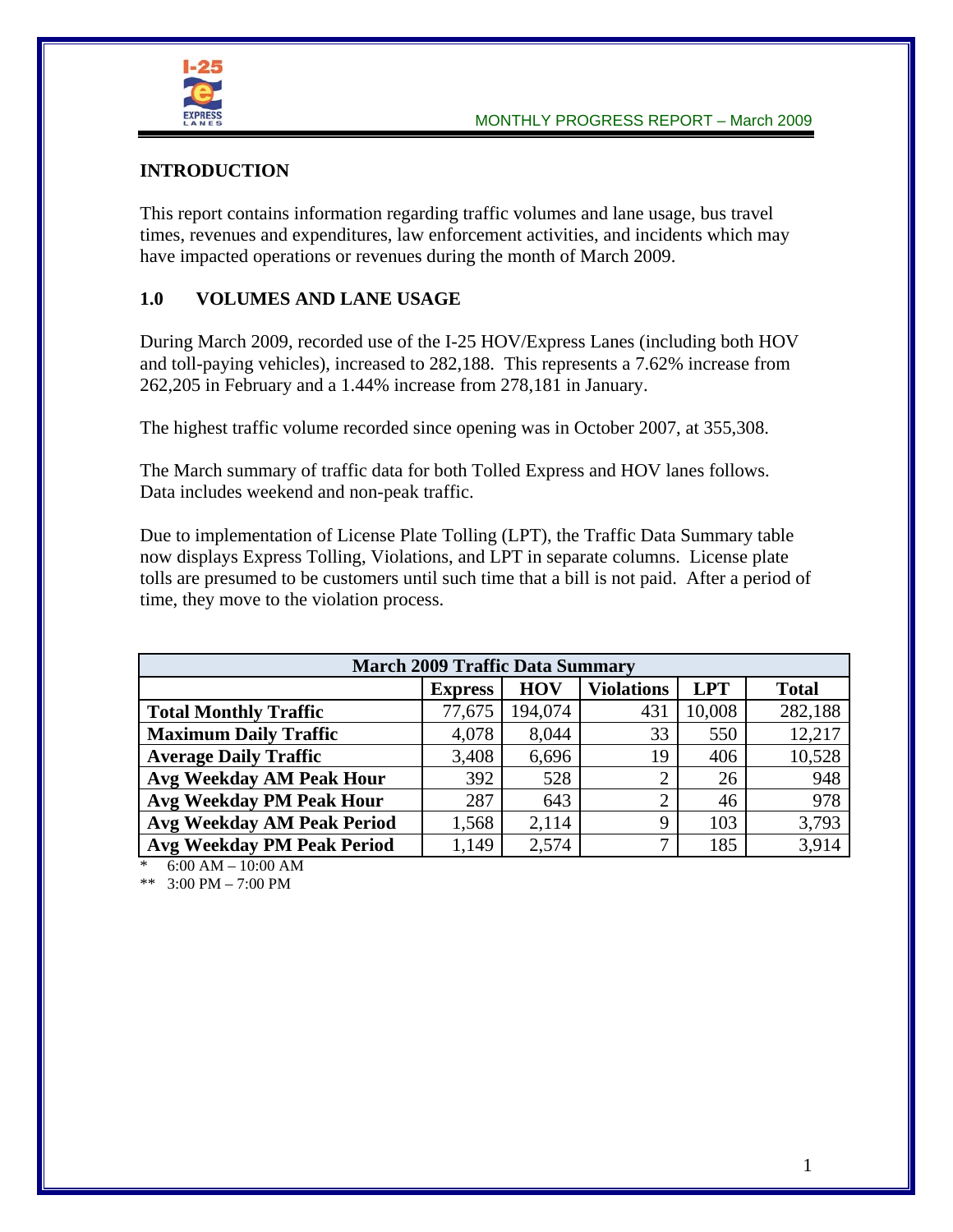

## **INTRODUCTION**

This report contains information regarding traffic volumes and lane usage, bus travel times, revenues and expenditures, law enforcement activities, and incidents which may have impacted operations or revenues during the month of March 2009.

## **1.0 VOLUMES AND LANE USAGE**

During March 2009, recorded use of the I-25 HOV/Express Lanes (including both HOV and toll-paying vehicles), increased to 282,188. This represents a 7.62% increase from 262,205 in February and a 1.44% increase from 278,181 in January.

The highest traffic volume recorded since opening was in October 2007, at 355,308.

The March summary of traffic data for both Tolled Express and HOV lanes follows. Data includes weekend and non-peak traffic.

Due to implementation of License Plate Tolling (LPT), the Traffic Data Summary table now displays Express Tolling, Violations, and LPT in separate columns. License plate tolls are presumed to be customers until such time that a bill is not paid. After a period of time, they move to the violation process.

| <b>March 2009 Traffic Data Summary</b>                                          |        |         |     |        |         |  |  |  |  |
|---------------------------------------------------------------------------------|--------|---------|-----|--------|---------|--|--|--|--|
| <b>HOV</b><br><b>Violations</b><br><b>LPT</b><br><b>Total</b><br><b>Express</b> |        |         |     |        |         |  |  |  |  |
| <b>Total Monthly Traffic</b>                                                    | 77,675 | 194,074 | 431 | 10,008 | 282,188 |  |  |  |  |
| <b>Maximum Daily Traffic</b>                                                    | 4,078  | 8,044   | 33  | 550    | 12,217  |  |  |  |  |
| <b>Average Daily Traffic</b>                                                    | 3,408  | 6,696   | 19  | 406    | 10,528  |  |  |  |  |
| <b>Avg Weekday AM Peak Hour</b>                                                 | 392    | 528     |     | 26     | 948     |  |  |  |  |
| <b>Avg Weekday PM Peak Hour</b>                                                 | 287    | 643     | ⌒   | 46     | 978     |  |  |  |  |
| <b>Avg Weekday AM Peak Period</b>                                               | 1,568  | 2,114   | Q   | 103    | 3,793   |  |  |  |  |
| <b>Avg Weekday PM Peak Period</b>                                               | 1,149  | 2,574   | −   | 185    | 3,914   |  |  |  |  |

 $6:00$  AM –  $10:00$  AM

\*\* 3:00 PM – 7:00 PM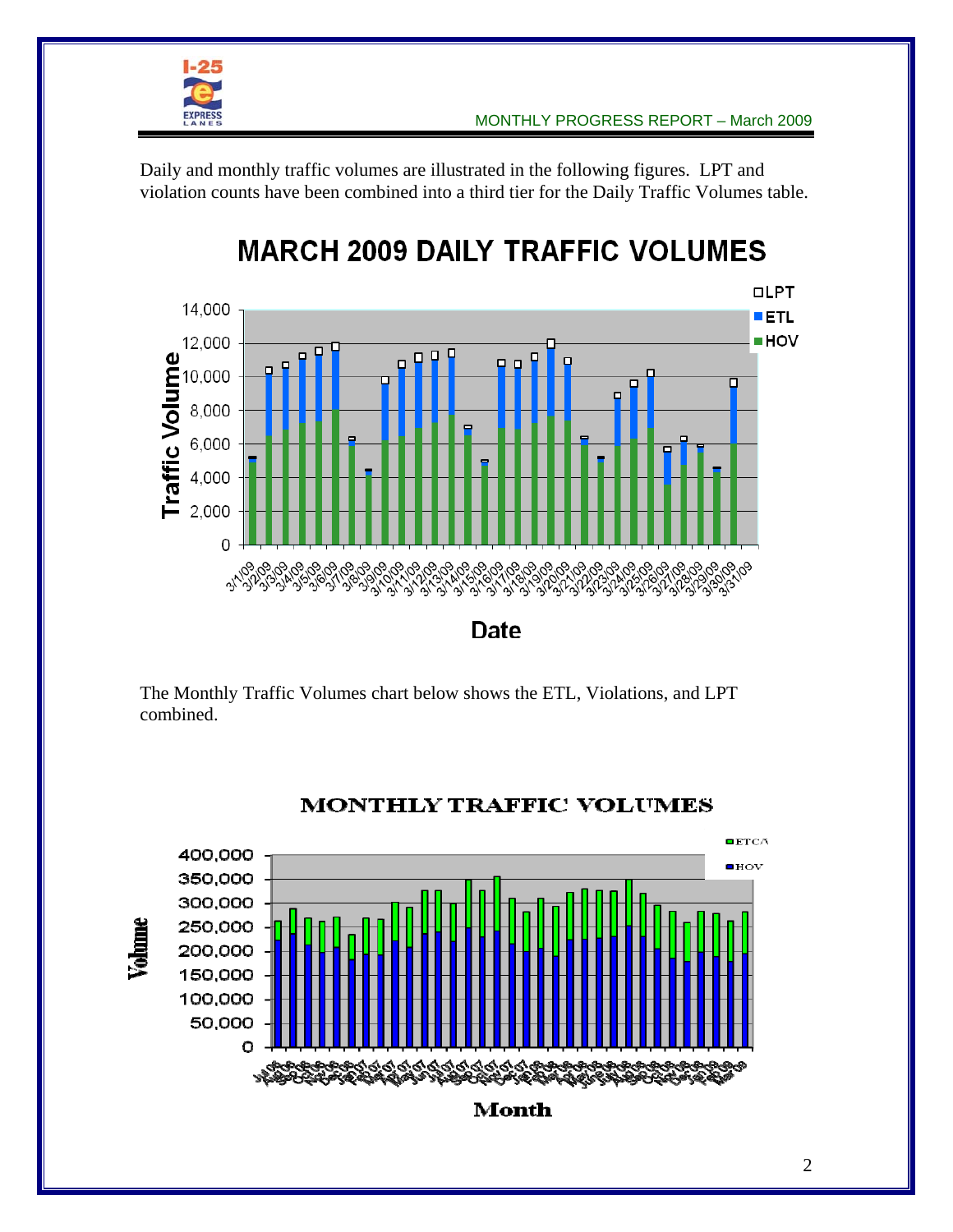

Daily and monthly traffic volumes are illustrated in the following figures. LPT and violation counts have been combined into a third tier for the Daily Traffic Volumes table.

#### **OLPT** 14,000  $ETL$ **HOV** 12,000 п  $\Box$  $\Omega$ 311/09 ઌૢ૾ઌૢૺઌૢઌૢઌૢ 'ర్మని' ర<sub>ం</sub> ಳಿ ಳಿ ಳಿ ని مبادهم ادم برام برام برام<br>کوه کوه مبادر این کوه کوه مستحدث المراجع المتعارف المراجع المراجع المراجع المراجع المراجع المراجع المراجع **Date**

**MARCH 2009 DAILY TRAFFIC VOLUMES** 

The Monthly Traffic Volumes chart below shows the ETL, Violations, and LPT combined.



# MONTHLY TRAFFIC VOLUMES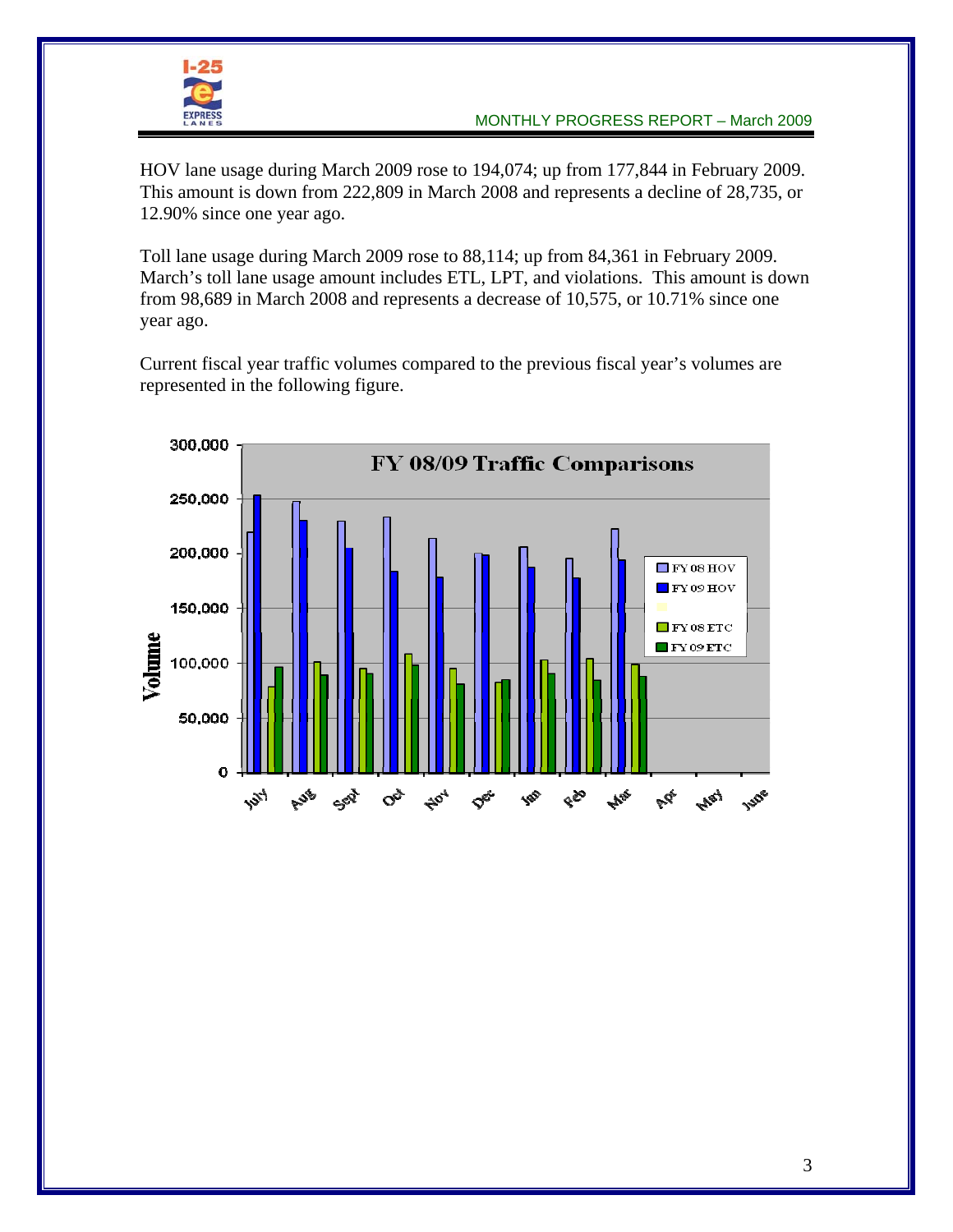

HOV lane usage during March 2009 rose to 194,074; up from 177,844 in February 2009. This amount is down from 222,809 in March 2008 and represents a decline of 28,735, or 12.90% since one year ago.

Toll lane usage during March 2009 rose to 88,114; up from 84,361 in February 2009. March's toll lane usage amount includes ETL, LPT, and violations. This amount is down from 98,689 in March 2008 and represents a decrease of 10,575, or 10.71% since one year ago.

Current fiscal year traffic volumes compared to the previous fiscal year's volumes are represented in the following figure.

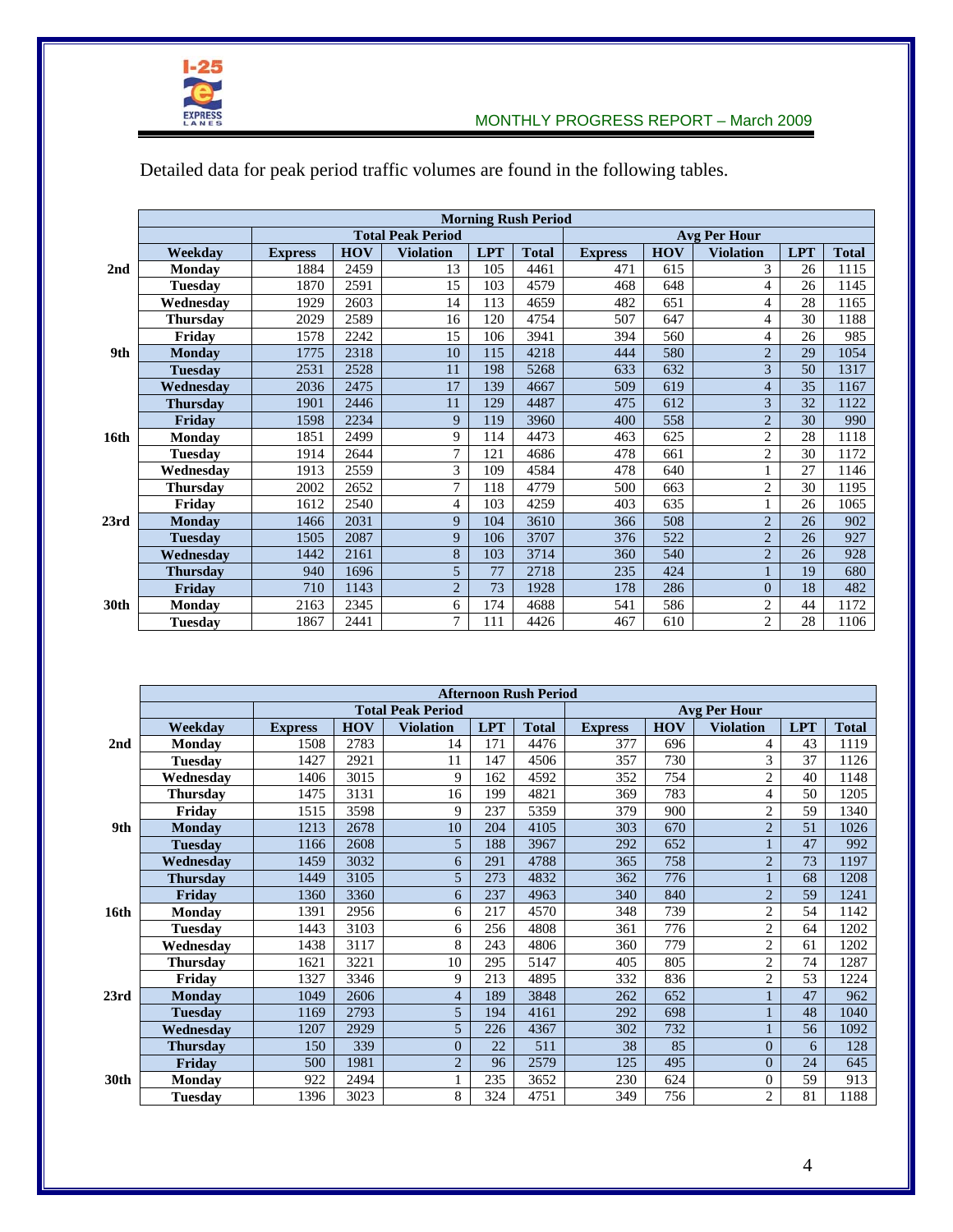

|      | <b>Morning Rush Period</b> |                |            |                          |            |              |                     |            |                          |            |              |  |  |
|------|----------------------------|----------------|------------|--------------------------|------------|--------------|---------------------|------------|--------------------------|------------|--------------|--|--|
|      |                            |                |            | <b>Total Peak Period</b> |            |              | <b>Avg Per Hour</b> |            |                          |            |              |  |  |
|      | Weekdav                    | <b>Express</b> | <b>HOV</b> | <b>Violation</b>         | <b>LPT</b> | <b>Total</b> | <b>Express</b>      | <b>HOV</b> | <b>Violation</b>         | <b>LPT</b> | <b>Total</b> |  |  |
| 2nd  | Monday                     | 1884           | 2459       | 13                       | 105        | 4461         | 471                 | 615        | 3                        | 26         | 1115         |  |  |
|      | <b>Tuesday</b>             | 1870           | 2591       | 15                       | 103        | 4579         | 468                 | 648        | 4                        | 26         | 1145         |  |  |
|      | Wednesday                  | 1929           | 2603       | 14                       | 113        | 4659         | 482                 | 651        | 4                        | 28         | 1165         |  |  |
|      | <b>Thursday</b>            | 2029           | 2589       | 16                       | 120        | 4754         | 507                 | 647        | 4                        | 30         | 1188         |  |  |
|      | Friday                     | 1578           | 2242       | 15                       | 106        | 3941         | 394                 | 560        | 4                        | 26         | 985          |  |  |
| 9th  | <b>Monday</b>              | 1775           | 2318       | 10                       | 115        | 4218         | 444                 | 580        | $\overline{2}$           | 29         | 1054         |  |  |
|      | <b>Tuesday</b>             | 2531           | 2528       | 11                       | 198        | 5268         | 633                 | 632        | 3                        | 50         | 1317         |  |  |
|      | Wednesdav                  | 2036           | 2475       | 17                       | 139        | 4667         | 509                 | 619        | $\overline{\mathcal{L}}$ | 35         | 1167         |  |  |
|      | <b>Thursday</b>            | 1901           | 2446       | 11                       | 129        | 4487         | 475                 | 612        | 3                        | 32         | 1122         |  |  |
|      | Friday                     | 1598           | 2234       | 9                        | 119        | 3960         | 400                 | 558        | $\overline{c}$           | 30         | 990          |  |  |
| 16th | Monday                     | 1851           | 2499       | 9                        | 114        | 4473         | 463                 | 625        | $\overline{c}$           | 28         | 1118         |  |  |
|      | Tuesday                    | 1914           | 2644       | $\overline{7}$           | 121        | 4686         | 478                 | 661        | 2                        | 30         | 1172         |  |  |
|      | Wednesday                  | 1913           | 2559       | 3                        | 109        | 4584         | 478                 | 640        | 1                        | 27         | 1146         |  |  |
|      | <b>Thursday</b>            | 2002           | 2652       | $\overline{7}$           | 118        | 4779         | 500                 | 663        | $\overline{c}$           | 30         | 1195         |  |  |
|      | Friday                     | 1612           | 2540       | $\overline{4}$           | 103        | 4259         | 403                 | 635        | 1                        | 26         | 1065         |  |  |
| 23rd | <b>Monday</b>              | 1466           | 2031       | 9                        | 104        | 3610         | 366                 | 508        | $\overline{2}$           | 26         | 902          |  |  |
|      | <b>Tuesday</b>             | 1505           | 2087       | 9                        | 106        | 3707         | 376                 | 522        | $\overline{2}$           | 26         | 927          |  |  |
|      | Wednesdav                  | 1442           | 2161       | 8                        | 103        | 3714         | 360                 | 540        | $\overline{2}$           | 26         | 928          |  |  |
|      | <b>Thursday</b>            | 940            | 1696       | 5                        | 77         | 2718         | 235                 | 424        | $\mathbf{1}$             | 19         | 680          |  |  |
|      | Friday                     | 710            | 1143       | $\overline{2}$           | 73         | 1928         | 178                 | 286        | $\overline{0}$           | 18         | 482          |  |  |
| 30th | Monday                     | 2163           | 2345       | 6                        | 174        | 4688         | 541                 | 586        | 2                        | 44         | 1172         |  |  |
|      | <b>Tuesday</b>             | 1867           | 2441       | 7                        | 111        | 4426         | 467                 | 610        | $\overline{c}$           | 28         | 1106         |  |  |

Detailed data for peak period traffic volumes are found in the following tables.

|      | <b>Afternoon Rush Period</b> |                |            |                          |            |              |                |              |                  |            |              |  |  |
|------|------------------------------|----------------|------------|--------------------------|------------|--------------|----------------|--------------|------------------|------------|--------------|--|--|
|      |                              |                |            | <b>Total Peak Period</b> |            |              |                | Avg Per Hour |                  |            |              |  |  |
|      | Weekdav                      | <b>Express</b> | <b>HOV</b> | <b>Violation</b>         | <b>LPT</b> | <b>Total</b> | <b>Express</b> | <b>HOV</b>   | <b>Violation</b> | <b>LPT</b> | <b>Total</b> |  |  |
| 2nd  | Monday                       | 1508           | 2783       | 14                       | 171        | 4476         | 377            | 696          | 4                | 43         | 1119         |  |  |
|      | <b>Tuesday</b>               | 1427           | 2921       | 11                       | 147        | 4506         | 357            | 730          | 3                | 37         | 1126         |  |  |
|      | Wednesdav                    | 1406           | 3015       | 9                        | 162        | 4592         | 352            | 754          | $\overline{c}$   | 40         | 1148         |  |  |
|      | <b>Thursday</b>              | 1475           | 3131       | 16                       | 199        | 4821         | 369            | 783          | $\overline{4}$   | 50         | 1205         |  |  |
|      | Friday                       | 1515           | 3598       | 9                        | 237        | 5359         | 379            | 900          | $\overline{c}$   | 59         | 1340         |  |  |
| 9th  | <b>Monday</b>                | 1213           | 2678       | 10                       | 204        | 4105         | 303            | 670          | $\overline{c}$   | 51         | 1026         |  |  |
|      | <b>Tuesday</b>               | 1166           | 2608       | 5                        | 188        | 3967         | 292            | 652          | $\mathbf{1}$     | 47         | 992          |  |  |
|      | Wednesdav                    | 1459           | 3032       | 6                        | 291        | 4788         | 365            | 758          | $\overline{c}$   | 73         | 1197         |  |  |
|      | <b>Thursday</b>              | 1449           | 3105       | 5                        | 273        | 4832         | 362            | 776          | $\mathbf{1}$     | 68         | 1208         |  |  |
|      | Friday                       | 1360           | 3360       | 6                        | 237        | 4963         | 340            | 840          | $\overline{2}$   | 59         | 1241         |  |  |
| 16th | Monday                       | 1391           | 2956       | 6                        | 217        | 4570         | 348            | 739          | $\overline{c}$   | 54         | 1142         |  |  |
|      | <b>Tuesday</b>               | 1443           | 3103       | 6                        | 256        | 4808         | 361            | 776          | $\overline{c}$   | 64         | 1202         |  |  |
|      | Wednesdav                    | 1438           | 3117       | 8                        | 243        | 4806         | 360            | 779          | $\overline{c}$   | 61         | 1202         |  |  |
|      | <b>Thursday</b>              | 1621           | 3221       | 10                       | 295        | 5147         | 405            | 805          | $\overline{c}$   | 74         | 1287         |  |  |
|      | Friday                       | 1327           | 3346       | 9                        | 213        | 4895         | 332            | 836          | $\overline{c}$   | 53         | 1224         |  |  |
| 23rd | <b>Monday</b>                | 1049           | 2606       | $\overline{4}$           | 189        | 3848         | 262            | 652          |                  | 47         | 962          |  |  |
|      | <b>Tuesday</b>               | 1169           | 2793       | 5                        | 194        | 4161         | 292            | 698          |                  | 48         | 1040         |  |  |
|      | Wednesdav                    | 1207           | 2929       | 5                        | 226        | 4367         | 302            | 732          | 1                | 56         | 1092         |  |  |
|      | <b>Thursday</b>              | 150            | 339        | $\overline{0}$           | 22         | 511          | 38             | 85           | $\Omega$         | 6          | 128          |  |  |
|      | Friday                       | 500            | 1981       | $\overline{2}$           | 96         | 2579         | 125            | 495          | $\overline{0}$   | 24         | 645          |  |  |
| 30th | Monday                       | 922            | 2494       | 1                        | 235        | 3652         | 230            | 624          | $\mathbf{0}$     | 59         | 913          |  |  |
|      | <b>Tuesday</b>               | 1396           | 3023       | 8                        | 324        | 4751         | 349            | 756          | $\overline{2}$   | 81         | 1188         |  |  |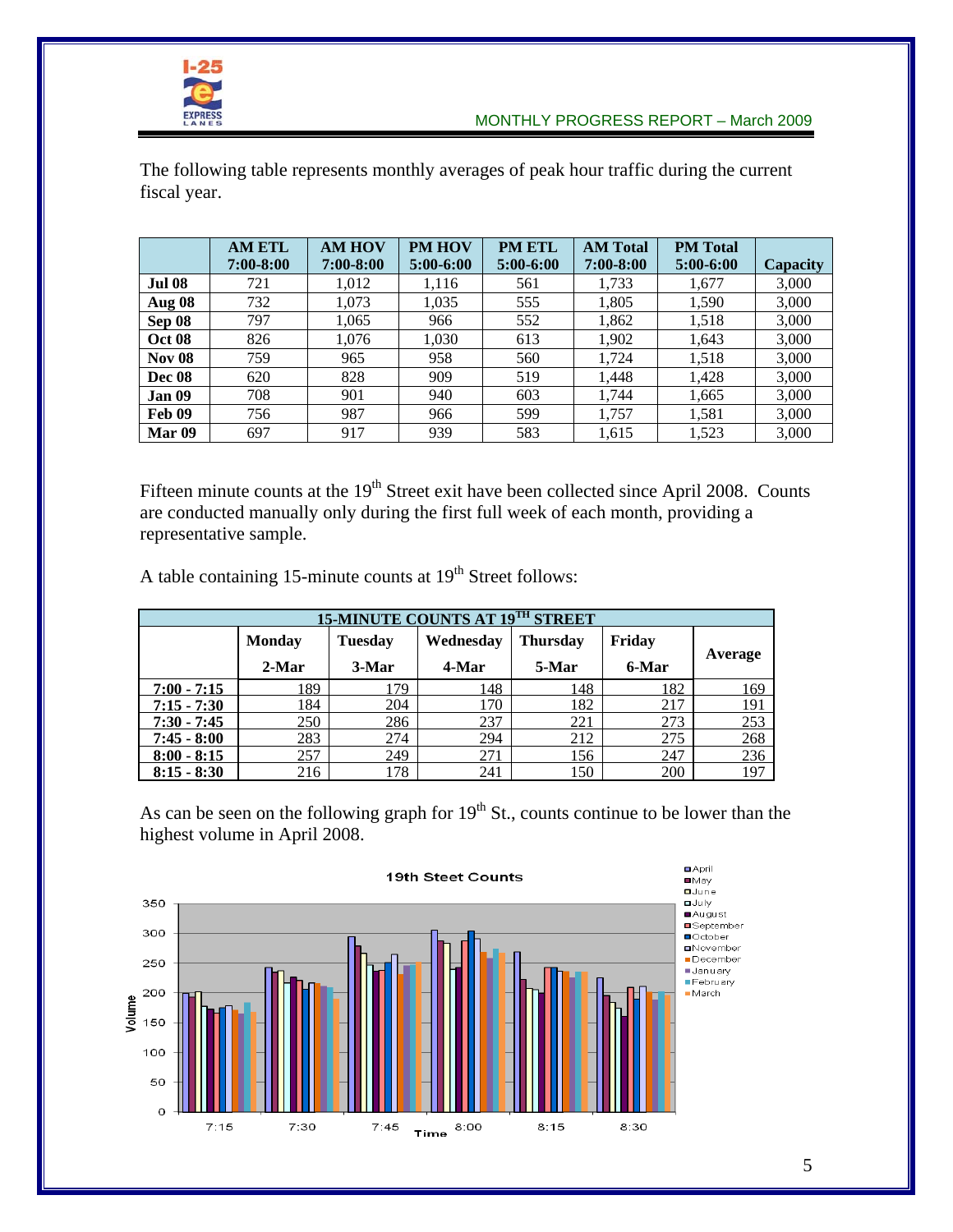

The following table represents monthly averages of peak hour traffic during the current fiscal year.

|               | <b>AM ETL</b> | <b>AM HOV</b> | PM HOV      | <b>PM ETL</b> | <b>AM Total</b> | <b>PM</b> Total |          |
|---------------|---------------|---------------|-------------|---------------|-----------------|-----------------|----------|
|               | $7:00 - 8:00$ | $7:00 - 8:00$ | $5:00-6:00$ | $5:00-6:00$   | $7:00 - 8:00$   | $5:00-6:00$     | Capacity |
| <b>Jul 08</b> | 721           | 1.012         | 1.116       | 561           | 1,733           | 1,677           | 3,000    |
| <b>Aug 08</b> | 732           | 1.073         | 1,035       | 555           | 1.805           | 1,590           | 3,000    |
| Sep 08        | 797           | 1,065         | 966         | 552           | 1,862           | 1,518           | 3,000    |
| <b>Oct 08</b> | 826           | 1.076         | 1.030       | 613           | 1.902           | 1,643           | 3,000    |
| <b>Nov 08</b> | 759           | 965           | 958         | 560           | 1.724           | 1,518           | 3,000    |
| Dec 08        | 620           | 828           | 909         | 519           | 1.448           | 1,428           | 3,000    |
| <b>Jan 09</b> | 708           | 901           | 940         | 603           | 1.744           | 1,665           | 3,000    |
| Feb 09        | 756           | 987           | 966         | 599           | 1.757           | 1,581           | 3,000    |
| <b>Mar 09</b> | 697           | 917           | 939         | 583           | 1.615           | 1.523           | 3,000    |

Fifteen minute counts at the 19<sup>th</sup> Street exit have been collected since April 2008. Counts are conducted manually only during the first full week of each month, providing a representative sample.

A table containing 15-minute counts at  $19<sup>th</sup>$  Street follows:

| 15-MINUTE COUNTS AT 19TH STREET |                                                                           |       |       |       |       |         |  |  |  |  |  |  |
|---------------------------------|---------------------------------------------------------------------------|-------|-------|-------|-------|---------|--|--|--|--|--|--|
|                                 | Friday<br>Wednesday<br><b>Monday</b><br><b>Thursday</b><br><b>Tuesday</b> |       |       |       |       |         |  |  |  |  |  |  |
|                                 | $2-Mar$                                                                   | 3-Mar | 4-Mar | 5-Mar | 6-Mar | Average |  |  |  |  |  |  |
| $7:00 - 7:15$                   | 189                                                                       | 179   | 148   | 148   | 182   | 169     |  |  |  |  |  |  |
| $7:15 - 7:30$                   | 184                                                                       | 204   | 170   | 182   | 217   | 191     |  |  |  |  |  |  |
| $7:30 - 7:45$                   | 250                                                                       | 286   | 237   | 221   | 273   | 253     |  |  |  |  |  |  |
| $7:45 - 8:00$                   | 283                                                                       | 274   | 294   | 212   | 275   | 268     |  |  |  |  |  |  |
| $8:00 - 8:15$                   | 257                                                                       | 249   | 271   | 156   | 247   | 236     |  |  |  |  |  |  |
| $8:15 - 8:30$                   | 216                                                                       | 178   | 241   | 150   | 200   | 197     |  |  |  |  |  |  |

As can be seen on the following graph for  $19<sup>th</sup>$  St., counts continue to be lower than the highest volume in April 2008.

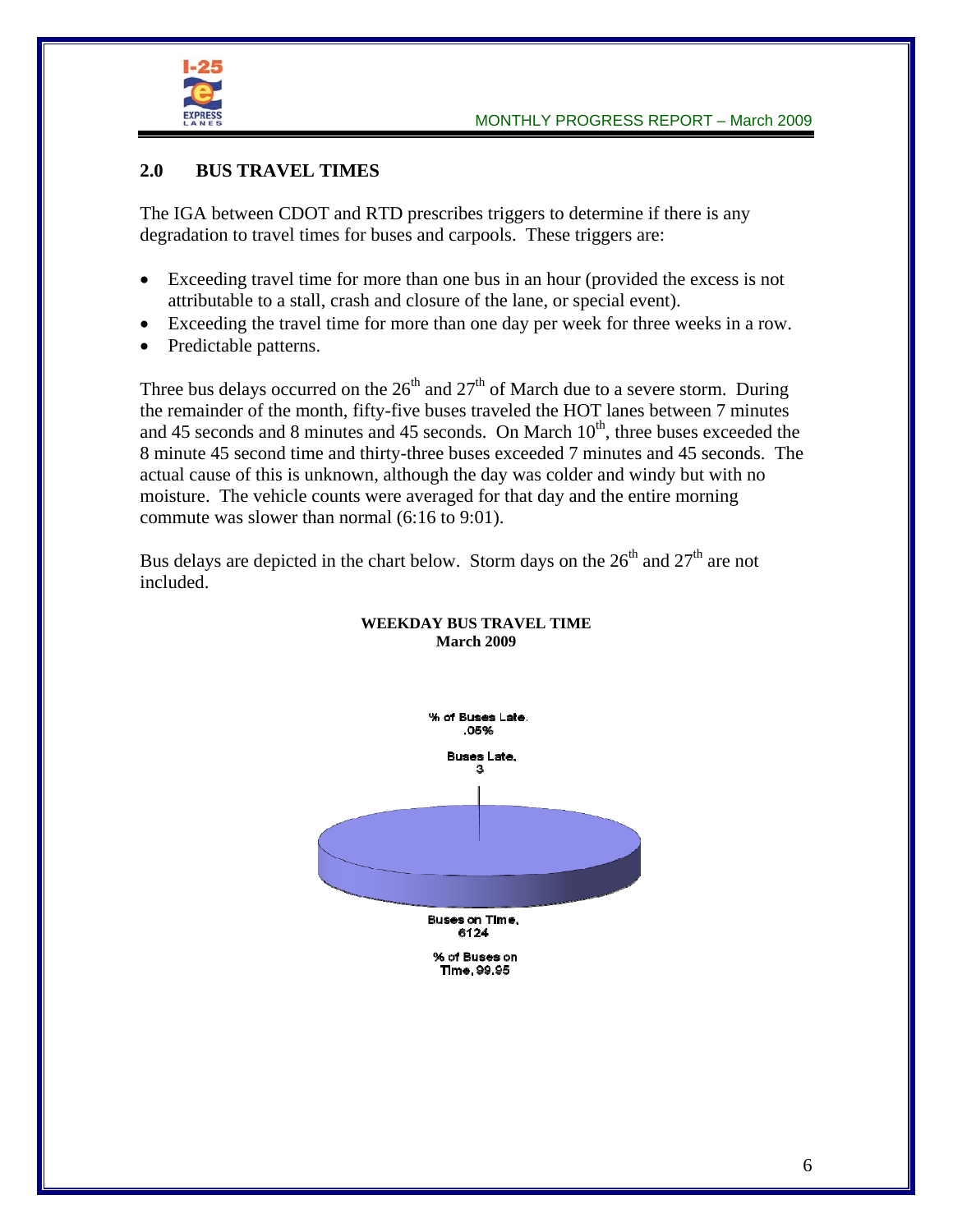

### **2.0 BUS TRAVEL TIMES**

The IGA between CDOT and RTD prescribes triggers to determine if there is any degradation to travel times for buses and carpools. These triggers are:

- Exceeding travel time for more than one bus in an hour (provided the excess is not attributable to a stall, crash and closure of the lane, or special event).
- Exceeding the travel time for more than one day per week for three weeks in a row.
- Predictable patterns.

Three bus delays occurred on the  $26<sup>th</sup>$  and  $27<sup>th</sup>$  of March due to a severe storm. During the remainder of the month, fifty-five buses traveled the HOT lanes between 7 minutes and 45 seconds and 8 minutes and 45 seconds. On March  $10<sup>th</sup>$ , three buses exceeded the 8 minute 45 second time and thirty-three buses exceeded 7 minutes and 45 seconds. The actual cause of this is unknown, although the day was colder and windy but with no moisture. The vehicle counts were averaged for that day and the entire morning commute was slower than normal (6:16 to 9:01).

Bus delays are depicted in the chart below. Storm days on the  $26<sup>th</sup>$  and  $27<sup>th</sup>$  are not included.



#### **WEEKDAY BUS TRAVEL TIME March 2009**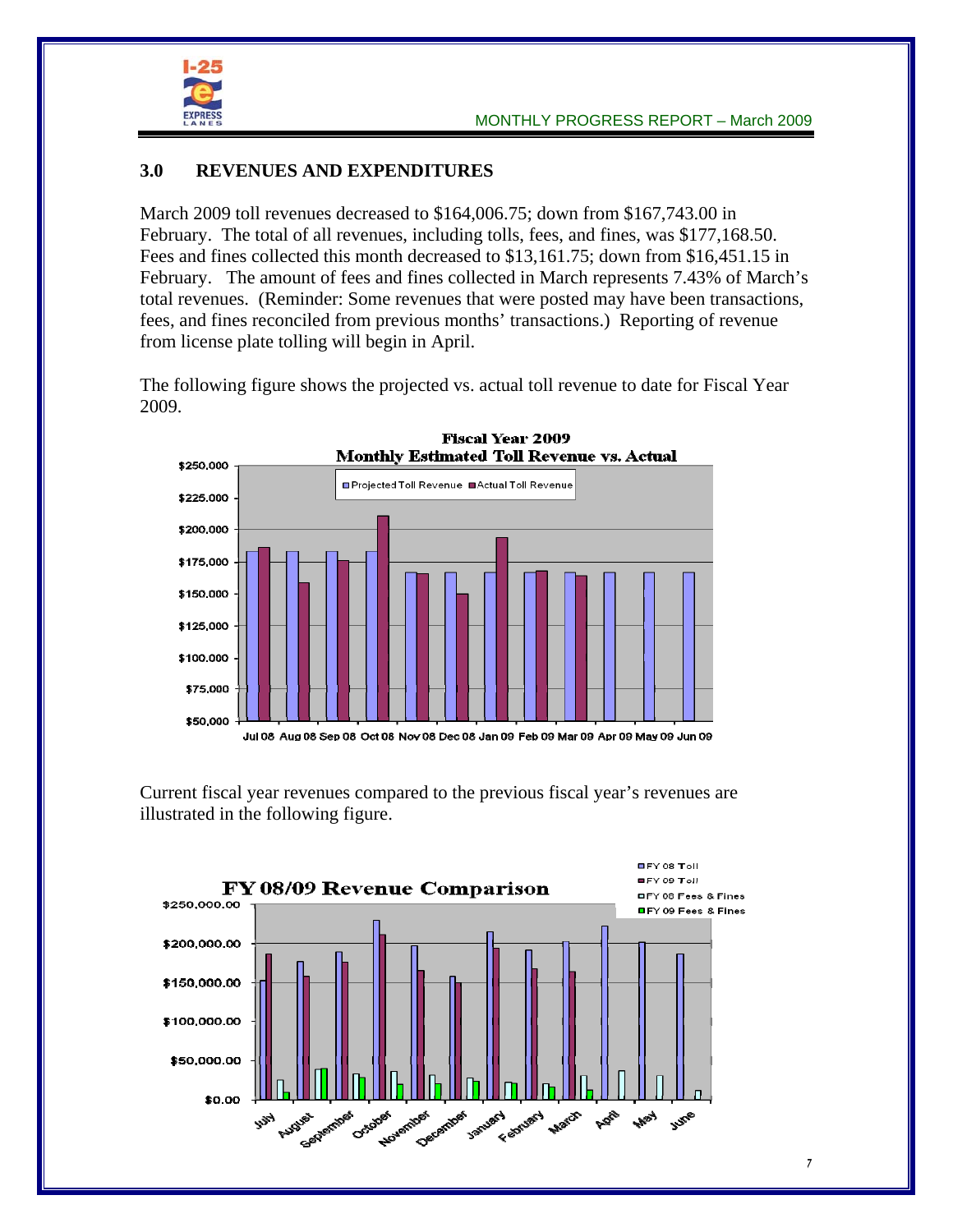

### **3.0 REVENUES AND EXPENDITURES**

March 2009 toll revenues decreased to \$164,006.75; down from \$167,743.00 in February. The total of all revenues, including tolls, fees, and fines, was \$177,168.50. Fees and fines collected this month decreased to \$13,161.75; down from \$16,451.15 in February. The amount of fees and fines collected in March represents 7.43% of March's total revenues. (Reminder: Some revenues that were posted may have been transactions, fees, and fines reconciled from previous months' transactions.) Reporting of revenue from license plate tolling will begin in April.

The following figure shows the projected vs. actual toll revenue to date for Fiscal Year 2009.



Current fiscal year revenues compared to the previous fiscal year's revenues are illustrated in the following figure.

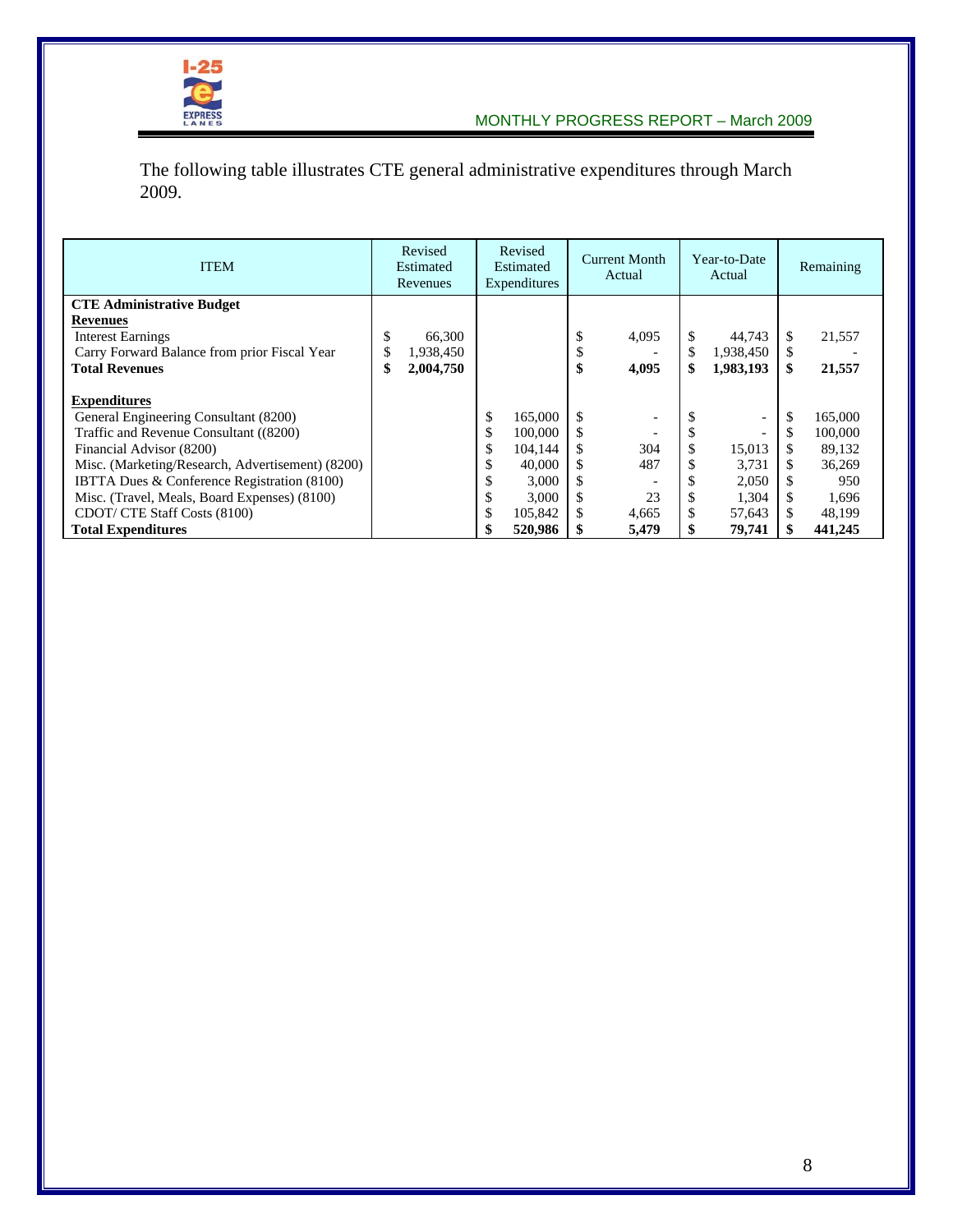

The following table illustrates CTE general administrative expenditures through March 2009.

| <b>ITEM</b>                                            | Revised<br>Estimated<br>Revenues |    | Revised<br>Estimated<br>Expenditures | <b>Current Month</b><br>Actual |       | Year-to-Date<br>Actual |           | Remaining |         |
|--------------------------------------------------------|----------------------------------|----|--------------------------------------|--------------------------------|-------|------------------------|-----------|-----------|---------|
| <b>CTE Administrative Budget</b>                       |                                  |    |                                      |                                |       |                        |           |           |         |
| <b>Revenues</b>                                        |                                  |    |                                      |                                |       |                        |           |           |         |
| <b>Interest Earnings</b>                               | \$<br>66,300                     |    |                                      |                                | 4,095 | S                      | 44,743    | \$        | 21,557  |
| Carry Forward Balance from prior Fiscal Year           | 1,938,450                        |    |                                      |                                |       | \$                     | 1,938,450 | \$        |         |
| <b>Total Revenues</b>                                  | \$<br>2,004,750                  |    |                                      | æ                              | 4,095 |                        | 1,983,193 | \$        | 21,557  |
| <b>Expenditures</b>                                    |                                  |    |                                      |                                |       |                        |           |           |         |
| General Engineering Consultant (8200)                  |                                  | \$ | 165,000                              | \$.                            |       |                        | ۰         | \$        | 165,000 |
| Traffic and Revenue Consultant ((8200)                 |                                  | S  | 100,000                              | <b>S</b>                       |       |                        |           | \$        | 100,000 |
| Financial Advisor (8200)                               |                                  | \$ | 104.144                              | \$.                            | 304   | S                      | 15,013    |           | 89.132  |
| Misc. (Marketing/Research, Advertisement) (8200)       |                                  | э  | 40,000                               | S                              | 487   |                        | 3,731     | \$        | 36,269  |
| <b>IBTTA Dues &amp; Conference Registration (8100)</b> |                                  |    | 3,000                                |                                |       |                        | 2,050     |           | 950     |
| Misc. (Travel, Meals, Board Expenses) (8100)           |                                  |    | 3,000                                |                                | 23    |                        | 1,304     | \$        | 1,696   |
| CDOT/ CTE Staff Costs (8100)                           |                                  | э  | 105,842                              | S                              | 4.665 |                        | 57,643    | \$        | 48,199  |
| <b>Total Expenditures</b>                              |                                  |    | 520,986                              |                                | 5,479 |                        | 79,741    |           | 441,245 |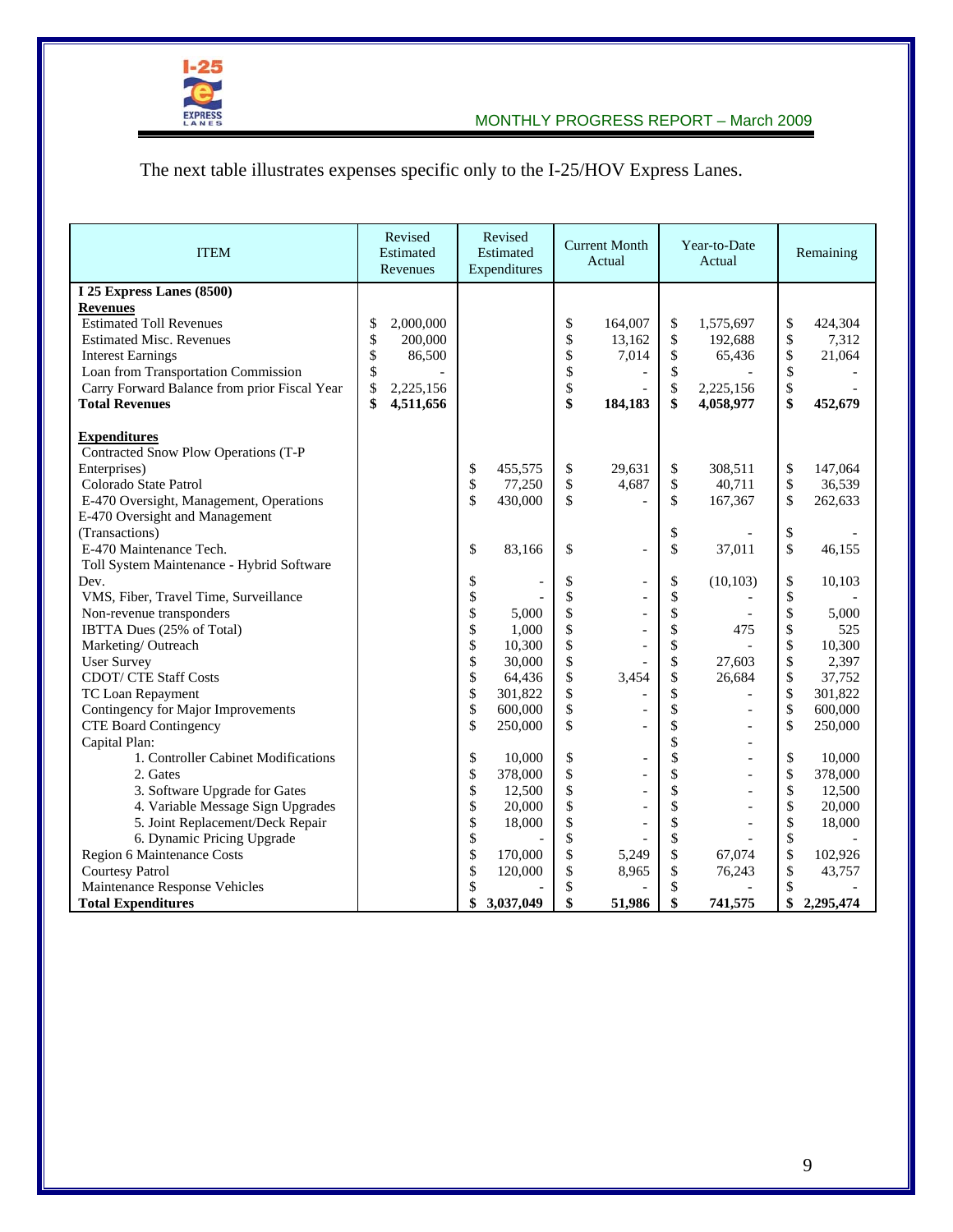

The next table illustrates expenses specific only to the I-25/HOV Express Lanes.

| <b>ITEM</b>                                                                                                                                                                                                                                                                                                                                                                                                                                                                                                                                                                                                                      | Revised<br>Estimated<br>Revenues                                                | Revised<br>Estimated<br>Expenditures                                                                                                                                                                                                         | <b>Current Month</b><br>Actual                                                                                                                                          | Year-to-Date<br>Actual                                                                                                                                                                                  | Remaining                                                                                                                                                                                                                                                            |  |
|----------------------------------------------------------------------------------------------------------------------------------------------------------------------------------------------------------------------------------------------------------------------------------------------------------------------------------------------------------------------------------------------------------------------------------------------------------------------------------------------------------------------------------------------------------------------------------------------------------------------------------|---------------------------------------------------------------------------------|----------------------------------------------------------------------------------------------------------------------------------------------------------------------------------------------------------------------------------------------|-------------------------------------------------------------------------------------------------------------------------------------------------------------------------|---------------------------------------------------------------------------------------------------------------------------------------------------------------------------------------------------------|----------------------------------------------------------------------------------------------------------------------------------------------------------------------------------------------------------------------------------------------------------------------|--|
| I 25 Express Lanes (8500)<br><b>Revenues</b><br><b>Estimated Toll Revenues</b><br><b>Estimated Misc. Revenues</b><br><b>Interest Earnings</b><br>Loan from Transportation Commission<br>Carry Forward Balance from prior Fiscal Year<br><b>Total Revenues</b>                                                                                                                                                                                                                                                                                                                                                                    | 2,000,000<br>\$<br>\$<br>200,000<br>\$<br>86,500<br>\$<br>\$<br>2,225,156<br>\$ |                                                                                                                                                                                                                                              | \$<br>164,007<br>\$<br>13,162<br>\$<br>7,014<br>\$<br>\$<br>\$                                                                                                          | \$<br>1,575,697<br>\$<br>192,688<br>\$<br>65,436<br>\$<br>\$<br>2,225,156<br>\$                                                                                                                         | \$<br>424,304<br>\$<br>7,312<br>\$<br>21,064<br>\$<br>\$<br>\$                                                                                                                                                                                                       |  |
| <b>Expenditures</b><br>Contracted Snow Plow Operations (T-P<br>Enterprises)<br>Colorado State Patrol<br>E-470 Oversight, Management, Operations<br>E-470 Oversight and Management<br>(Transactions)<br>E-470 Maintenance Tech.<br>Toll System Maintenance - Hybrid Software<br>Dev.<br>VMS, Fiber, Travel Time, Surveillance<br>Non-revenue transponders<br>IBTTA Dues (25% of Total)<br>Marketing/Outreach<br><b>User Survey</b><br><b>CDOT/ CTE Staff Costs</b><br>TC Loan Repayment<br>Contingency for Major Improvements<br><b>CTE Board Contingency</b><br>Capital Plan:<br>1. Controller Cabinet Modifications<br>2. Gates | 4,511,656                                                                       | \$<br>455,575<br>\$<br>77,250<br>\$<br>430,000<br>\$<br>83,166<br>\$<br>\$<br>\$<br>5.000<br>\$<br>1,000<br>\$<br>10,300<br>\$<br>30,000<br>\$<br>64,436<br>\$<br>301,822<br>\$<br>600,000<br>\$<br>250,000<br>\$<br>10,000<br>\$<br>378,000 | 184,183<br>\$<br>29,631<br>\$<br>4,687<br>\$<br>\$<br>$\overline{a}$<br>\$<br>\$<br>\$<br>$\overline{a}$<br>\$<br>\$<br>\$<br>\$<br>3,454<br>\$<br>\$<br>\$<br>\$<br>\$ | 4,058,977<br>\$<br>308,511<br>\$<br>40,711<br>\$<br>167,367<br>\$<br>\$<br>37,011<br>\$<br>(10, 103)<br>\$<br>\$<br>\$<br>475<br>\$<br>\$<br>27,603<br>\$<br>26,684<br>\$<br>\$<br>\$<br>\$<br>\$<br>\$ | 452,679<br>\$<br>147,064<br>\$<br>36,539<br>\$<br>262,633<br>\$<br>\$<br>46,155<br>\$<br>10,103<br>\$<br>\$<br>5,000<br>\$<br>525<br>\$<br>10,300<br>\$<br>2,397<br>\$<br>37,752<br>\$<br>301,822<br>\$<br>600,000<br>\$<br>250,000<br>\$<br>10,000<br>\$<br>378,000 |  |
| 3. Software Upgrade for Gates<br>4. Variable Message Sign Upgrades<br>5. Joint Replacement/Deck Repair<br>6. Dynamic Pricing Upgrade<br>Region 6 Maintenance Costs<br><b>Courtesy Patrol</b><br>Maintenance Response Vehicles<br><b>Total Expenditures</b>                                                                                                                                                                                                                                                                                                                                                                       |                                                                                 | \$<br>12,500<br>\$<br>20,000<br>\$<br>18,000<br>\$<br>\$<br>170,000<br>\$<br>120,000<br>\$<br>\$<br>3,037,049                                                                                                                                | \$<br>\$<br>\$<br>\$<br>\$<br>5,249<br>\$<br>8,965<br>\$<br>\$<br>51,986                                                                                                | \$<br>\$<br>\$<br>\$<br>\$<br>67,074<br>\$<br>76,243<br>\$<br>\$<br>741,575                                                                                                                             | \$<br>12,500<br>\$<br>20,000<br>\$<br>18,000<br>\$<br>\$<br>102,926<br>\$<br>43,757<br>\$<br>\$2,295,474                                                                                                                                                             |  |